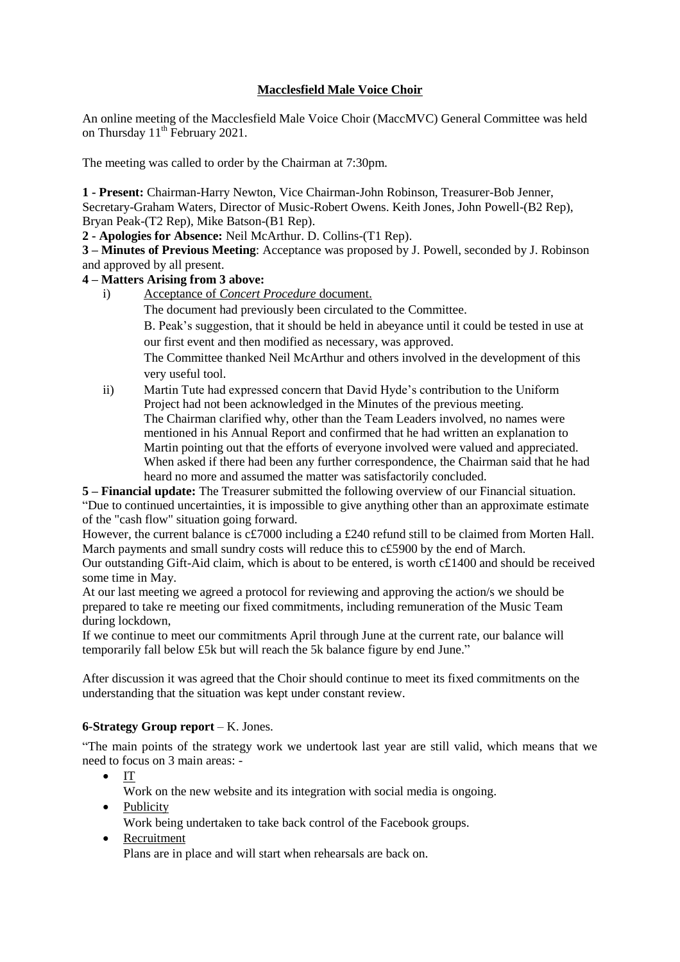# **Macclesfield Male Voice Choir**

An online meeting of the Macclesfield Male Voice Choir (MaccMVC) General Committee was held on Thursday  $11^{th}$  February 2021.

The meeting was called to order by the Chairman at 7:30pm.

**1 - Present:** Chairman-Harry Newton, Vice Chairman-John Robinson, Treasurer-Bob Jenner, Secretary-Graham Waters, Director of Music-Robert Owens. Keith Jones, John Powell-(B2 Rep), Bryan Peak-(T2 Rep), Mike Batson-(B1 Rep).

**2 - Apologies for Absence:** Neil McArthur. D. Collins-(T1 Rep).

**3 – Minutes of Previous Meeting**: Acceptance was proposed by J. Powell, seconded by J. Robinson and approved by all present.

## **4 – Matters Arising from 3 above:**

i) Acceptance of *Concert Procedure* document.

The document had previously been circulated to the Committee.

B. Peak's suggestion, that it should be held in abeyance until it could be tested in use at our first event and then modified as necessary, was approved.

The Committee thanked Neil McArthur and others involved in the development of this very useful tool.

ii) Martin Tute had expressed concern that David Hyde's contribution to the Uniform Project had not been acknowledged in the Minutes of the previous meeting. The Chairman clarified why, other than the Team Leaders involved, no names were mentioned in his Annual Report and confirmed that he had written an explanation to Martin pointing out that the efforts of everyone involved were valued and appreciated. When asked if there had been any further correspondence, the Chairman said that he had heard no more and assumed the matter was satisfactorily concluded.

**5 – Financial update:** The Treasurer submitted the following overview of our Financial situation. "Due to continued uncertainties, it is impossible to give anything other than an approximate estimate of the "cash flow" situation going forward.

However, the current balance is c£7000 including a £240 refund still to be claimed from Morten Hall. March payments and small sundry costs will reduce this to c£5900 by the end of March.

Our outstanding Gift-Aid claim, which is about to be entered, is worth c£1400 and should be received some time in May.

At our last meeting we agreed a protocol for reviewing and approving the action/s we should be prepared to take re meeting our fixed commitments, including remuneration of the Music Team during lockdown,

If we continue to meet our commitments April through June at the current rate, our balance will temporarily fall below £5k but will reach the 5k balance figure by end June."

After discussion it was agreed that the Choir should continue to meet its fixed commitments on the understanding that the situation was kept under constant review.

## **6-Strategy Group report** – K. Jones.

"The main points of the strategy work we undertook last year are still valid, which means that we need to focus on 3 main areas: -

- $\bullet$  IT
	- Work on the new website and its integration with social media is ongoing.
- Publicity

Work being undertaken to take back control of the Facebook groups.

• Recruitment Plans are in place and will start when rehearsals are back on.